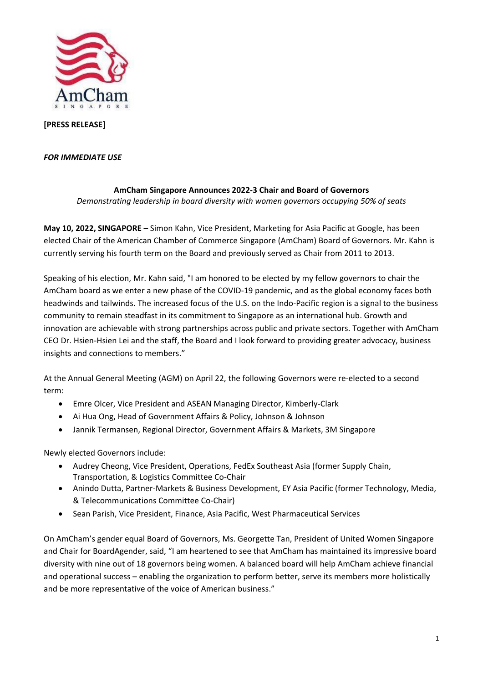

## **[PRESS RELEASE]**

## *FOR IMMEDIATE USE*

## **AmCham Singapore Announces 2022-3 Chair and Board of Governors** *Demonstrating leadership in board diversity with women governors occupying 50% of seats*

**May 10, 2022, SINGAPORE** – Simon Kahn, Vice President, Marketing for Asia Pacific at Google, has been elected Chair of the American Chamber of Commerce Singapore (AmCham) Board of Governors. Mr. Kahn is currently serving his fourth term on the Board and previously served as Chair from 2011 to 2013.

Speaking of his election, Mr. Kahn said, "I am honored to be elected by my fellow governors to chair the AmCham board as we enter a new phase of the COVID-19 pandemic, and as the global economy faces both headwinds and tailwinds. The increased focus of the U.S. on the Indo-Pacific region is a signal to the business community to remain steadfast in its commitment to Singapore as an international hub. Growth and innovation are achievable with strong partnerships across public and private sectors. Together with AmCham CEO Dr. Hsien-Hsien Lei and the staff, the Board and I look forward to providing greater advocacy, business insights and connections to members."

At the Annual General Meeting (AGM) on April 22, the following Governors were re-elected to a second term:

- Emre Olcer, Vice President and ASEAN Managing Director, Kimberly-Clark
- Ai Hua Ong, Head of Government Affairs & Policy, Johnson & Johnson
- Jannik Termansen, Regional Director, Government Affairs & Markets, 3M Singapore

Newly elected Governors include:

- Audrey Cheong, Vice President, Operations, FedEx Southeast Asia (former Supply Chain, Transportation, & Logistics Committee Co-Chair
- Anindo Dutta, Partner-Markets & Business Development, EY Asia Pacific (former Technology, Media, & Telecommunications Committee Co-Chair)
- Sean Parish, Vice President, Finance, Asia Pacific, West Pharmaceutical Services

On AmCham's gender equal Board of Governors, Ms. Georgette Tan, President of United Women Singapore and Chair for BoardAgender, said, "I am heartened to see that AmCham has maintained its impressive board diversity with nine out of 18 governors being women. A balanced board will help AmCham achieve financial and operational success – enabling the organization to perform better, serve its members more holistically and be more representative of the voice of American business."